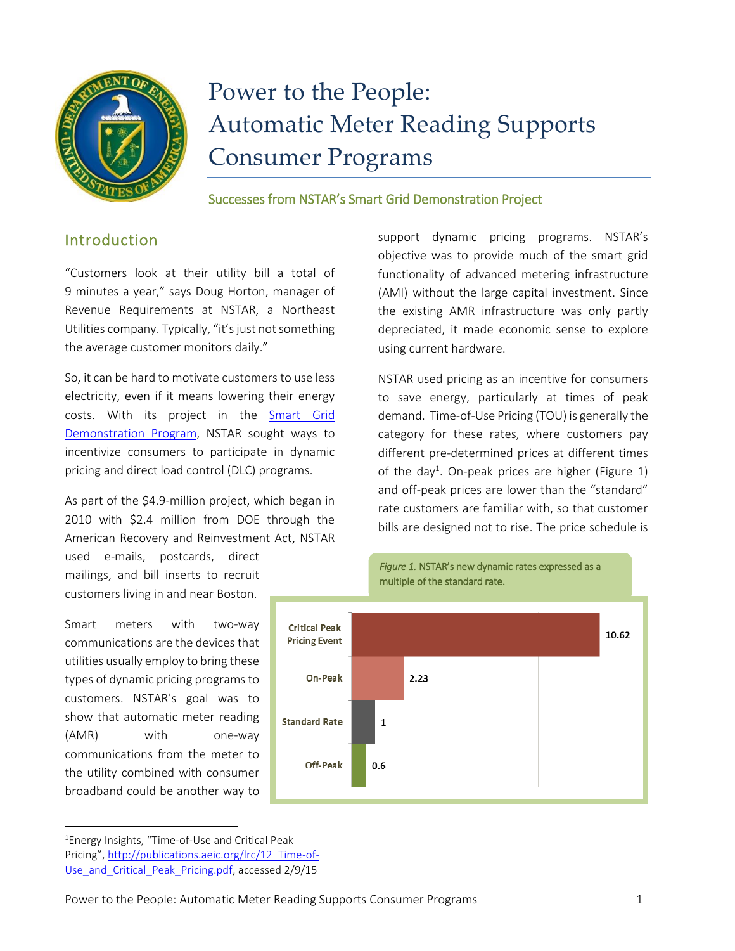

# Power to the People: Automatic Meter Reading Supports Consumer Programs

Successes from NSTAR's Smart Grid Demonstration Project

## Introduction

"Customers look at their utility bill a total of 9 minutes a year," says Doug Horton, manager of Revenue Requirements at NSTAR, a Northeast Utilities company. Typically, "it's just not something the average customer monitors daily."

So, it can be hard to motivate customers to use less electricity, even if it means lowering their energy costs. With its project in the [Smart Grid](https://www.smartgrid.gov/recovery_act/overview/smart_grid_demonstration_program)  [Demonstration Program,](https://www.smartgrid.gov/recovery_act/overview/smart_grid_demonstration_program) NSTAR sought ways to incentivize consumers to participate in dynamic pricing and direct load control (DLC) programs.

As part of the \$4.9-million project, which began in 2010 with \$2.4 million from DOE through the American Recovery and Reinvestment Act, NSTAR

used e-mails, postcards, direct mailings, and bill inserts to recruit customers living in and near Boston.

Smart meters with two-way communications are the devices that utilities usually employ to bring these types of dynamic pricing programs to customers. NSTAR's goal was to show that automatic meter reading (AMR) with one-way communications from the meter to the utility combined with consumer broadband could be another way to

 $\overline{a}$ 



multiple of the standard rate.

support dynamic pricing programs. NSTAR's objective was to provide much of the smart grid functionality of advanced metering infrastructure (AMI) without the large capital investment. Since the existing AMR infrastructure was only partly depreciated, it made economic sense to explore using current hardware.

NSTAR used pricing as an incentive for consumers to save energy, particularly at times of peak demand. Time-of-Use Pricing (TOU) is generally the category for these rates, where customers pay different pre-determined prices at different times of the day<sup>1</sup>. On-peak prices are higher (Figure 1) and off-peak prices are lower than the "standard" rate customers are familiar with, so that customer bills are designed not to rise. The price schedule is

*Figure 1.* NSTAR's new dynamic rates expressed as a

<sup>1</sup>Energy Insights, "Time-of-Use and Critical Peak Pricing", [http://publications.aeic.org/lrc/12\\_Time-of-](http://publications.aeic.org/lrc/12_Time-of-Use_and_Critical_Peak_Pricing.pdf)[Use\\_and\\_Critical\\_Peak\\_Pricing.pdf,](http://publications.aeic.org/lrc/12_Time-of-Use_and_Critical_Peak_Pricing.pdf) accessed 2/9/15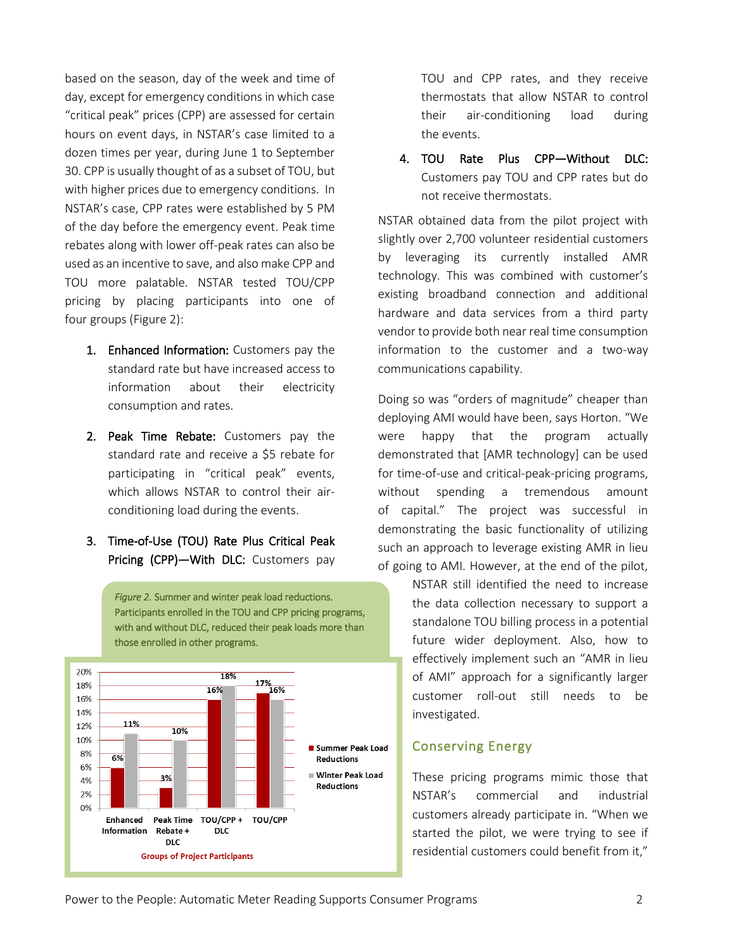based on the season, day of the week and time of day, except for emergency conditions in which case "critical peak" prices (CPP) are assessed for certain hours on event days, in NSTAR's case limited to a dozen times per year, during June 1 to September 30. CPP is usually thought of as a subset of TOU, but with higher prices due to emergency conditions. In NSTAR's case, CPP rates were established by 5 PM of the day before the emergency event. Peak time rebates along with lower off-peak rates can also be used as an incentive to save, and also make CPP and TOU more palatable. NSTAR tested TOU/CPP pricing by placing participants into one of four groups (Figure 2):

- 1. Enhanced Information: Customers pay the standard rate but have increased access to information about their electricity consumption and rates.
- 2. Peak Time Rebate: Customers pay the standard rate and receive a \$5 rebate for participating in "critical peak" events, which allows NSTAR to control their airconditioning load during the events.
- 3. Time-of-Use (TOU) Rate Plus Critical Peak Pricing (CPP)-With DLC: Customers pay



TOU and CPP rates, and they receive thermostats that allow NSTAR to control their air-conditioning load during the events.

4. TOU Rate Plus CPP—Without DLC: Customers pay TOU and CPP rates but do not receive thermostats.

NSTAR obtained data from the pilot project with slightly over 2,700 volunteer residential customers by leveraging its currently installed AMR technology. This was combined with customer's existing broadband connection and additional hardware and data services from a third party vendor to provide both near real time consumption information to the customer and a two-way communications capability.

Doing so was "orders of magnitude" cheaper than deploying AMI would have been, says Horton. "We were happy that the program actually demonstrated that [AMR technology] can be used for time-of-use and critical-peak-pricing programs, without spending a tremendous amount of capital." The project was successful in demonstrating the basic functionality of utilizing such an approach to leverage existing AMR in lieu of going to AMI. However, at the end of the pilot,

> NSTAR still identified the need to increase the data collection necessary to support a standalone TOU billing process in a potential future wider deployment. Also, how to effectively implement such an "AMR in lieu of AMI" approach for a significantly larger customer roll-out still needs to be investigated.

#### Conserving Energy

These pricing programs mimic those that NSTAR's commercial and industrial customers already participate in. "When we started the pilot, we were trying to see if residential customers could benefit from it,"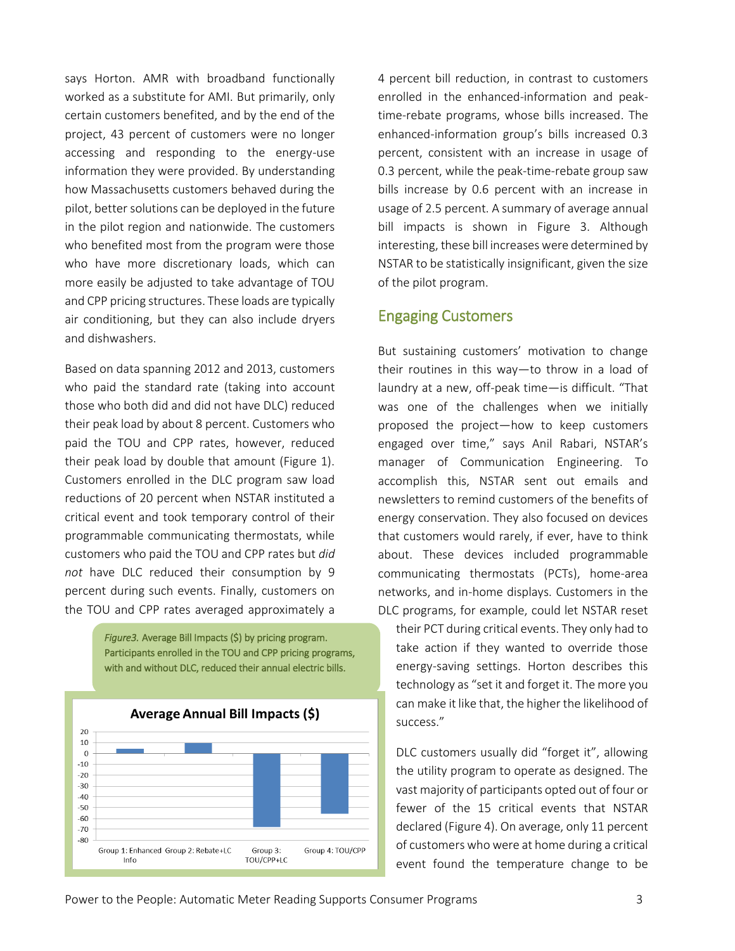says Horton. AMR with broadband functionally worked as a substitute for AMI. But primarily, only certain customers benefited, and by the end of the project, 43 percent of customers were no longer accessing and responding to the energy-use information they were provided. By understanding how Massachusetts customers behaved during the pilot, better solutions can be deployed in the future in the pilot region and nationwide. The customers who benefited most from the program were those who have more discretionary loads, which can more easily be adjusted to take advantage of TOU and CPP pricing structures. These loads are typically air conditioning, but they can also include dryers and dishwashers.

Based on data spanning 2012 and 2013, customers who paid the standard rate (taking into account those who both did and did not have DLC) reduced their peak load by about 8 percent. Customers who paid the TOU and CPP rates, however, reduced their peak load by double that amount (Figure 1). Customers enrolled in the DLC program saw load reductions of 20 percent when NSTAR instituted a critical event and took temporary control of their programmable communicating thermostats, while customers who paid the TOU and CPP rates but *did not* have DLC reduced their consumption by 9 percent during such events. Finally, customers on the TOU and CPP rates averaged approximately a

> *Figure3.* Average Bill Impacts (\$) by pricing program. Participants enrolled in the TOU and CPP pricing programs, with and without DLC, reduced their annual electric bills.



4 percent bill reduction, in contrast to customers enrolled in the enhanced-information and peaktime-rebate programs, whose bills increased. The enhanced-information group's bills increased 0.3 percent, consistent with an increase in usage of 0.3 percent, while the peak-time-rebate group saw bills increase by 0.6 percent with an increase in usage of 2.5 percent. A summary of average annual bill impacts is shown in Figure 3. Although interesting, these bill increases were determined by NSTAR to be statistically insignificant, given the size of the pilot program.

#### Engaging Customers

But sustaining customers' motivation to change their routines in this way—to throw in a load of laundry at a new, off-peak time—is difficult. "That was one of the challenges when we initially proposed the project—how to keep customers engaged over time," says Anil Rabari, NSTAR's manager of Communication Engineering. To accomplish this, NSTAR sent out emails and newsletters to remind customers of the benefits of energy conservation. They also focused on devices that customers would rarely, if ever, have to think about. These devices included programmable communicating thermostats (PCTs), home-area networks, and in-home displays. Customers in the DLC programs, for example, could let NSTAR reset

their PCT during critical events. They only had to take action if they wanted to override those energy-saving settings. Horton describes this technology as "set it and forget it. The more you can make it like that, the higher the likelihood of success."

DLC customers usually did "forget it", allowing the utility program to operate as designed. The vast majority of participants opted out of four or fewer of the 15 critical events that NSTAR declared (Figure 4). On average, only 11 percent of customers who were at home during a critical event found the temperature change to be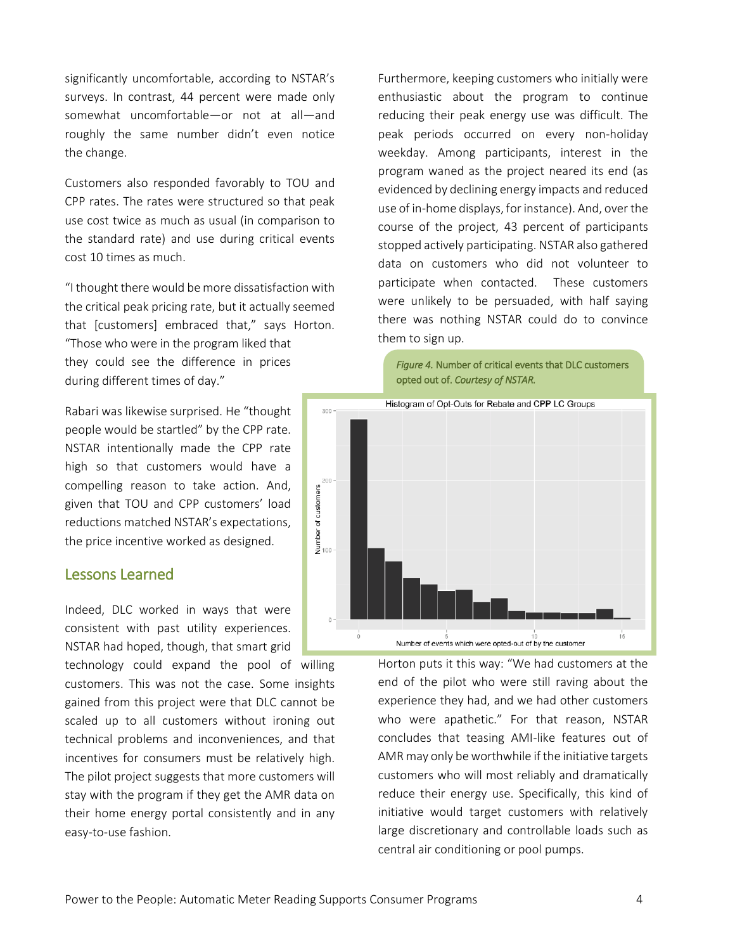significantly uncomfortable, according to NSTAR's surveys. In contrast, 44 percent were made only somewhat uncomfortable—or not at all—and roughly the same number didn't even notice the change.

Customers also responded favorably to TOU and CPP rates. The rates were structured so that peak use cost twice as much as usual (in comparison to the standard rate) and use during critical events cost 10 times as much.

"I thought there would be more dissatisfaction with the critical peak pricing rate, but it actually seemed that [customers] embraced that," says Horton. "Those who were in the program liked that they could see the difference in prices during different times of day."

Rabari was likewise surprised. He "thought people would be startled" by the CPP rate. NSTAR intentionally made the CPP rate high so that customers would have a compelling reason to take action. And, given that TOU and CPP customers' load reductions matched NSTAR's expectations, the price incentive worked as designed.

### Lessons Learned

Indeed, DLC worked in ways that were consistent with past utility experiences. NSTAR had hoped, though, that smart grid

technology could expand the pool of willing customers. This was not the case. Some insights gained from this project were that DLC cannot be scaled up to all customers without ironing out technical problems and inconveniences, and that incentives for consumers must be relatively high. The pilot project suggests that more customers will stay with the program if they get the AMR data on their home energy portal consistently and in any easy-to-use fashion.

Furthermore, keeping customers who initially were enthusiastic about the program to continue reducing their peak energy use was difficult. The peak periods occurred on every non-holiday weekday. Among participants, interest in the program waned as the project neared its end (as evidenced by declining energy impacts and reduced use of in-home displays, for instance). And, over the course of the project, 43 percent of participants stopped actively participating. NSTAR also gathered data on customers who did not volunteer to participate when contacted. These customers were unlikely to be persuaded, with half saying there was nothing NSTAR could do to convince them to sign up.



Horton puts it this way: "We had customers at the end of the pilot who were still raving about the experience they had, and we had other customers who were apathetic." For that reason, NSTAR concludes that teasing AMI-like features out of AMR may only be worthwhile if the initiative targets customers who will most reliably and dramatically reduce their energy use. Specifically, this kind of initiative would target customers with relatively large discretionary and controllable loads such as central air conditioning or pool pumps.